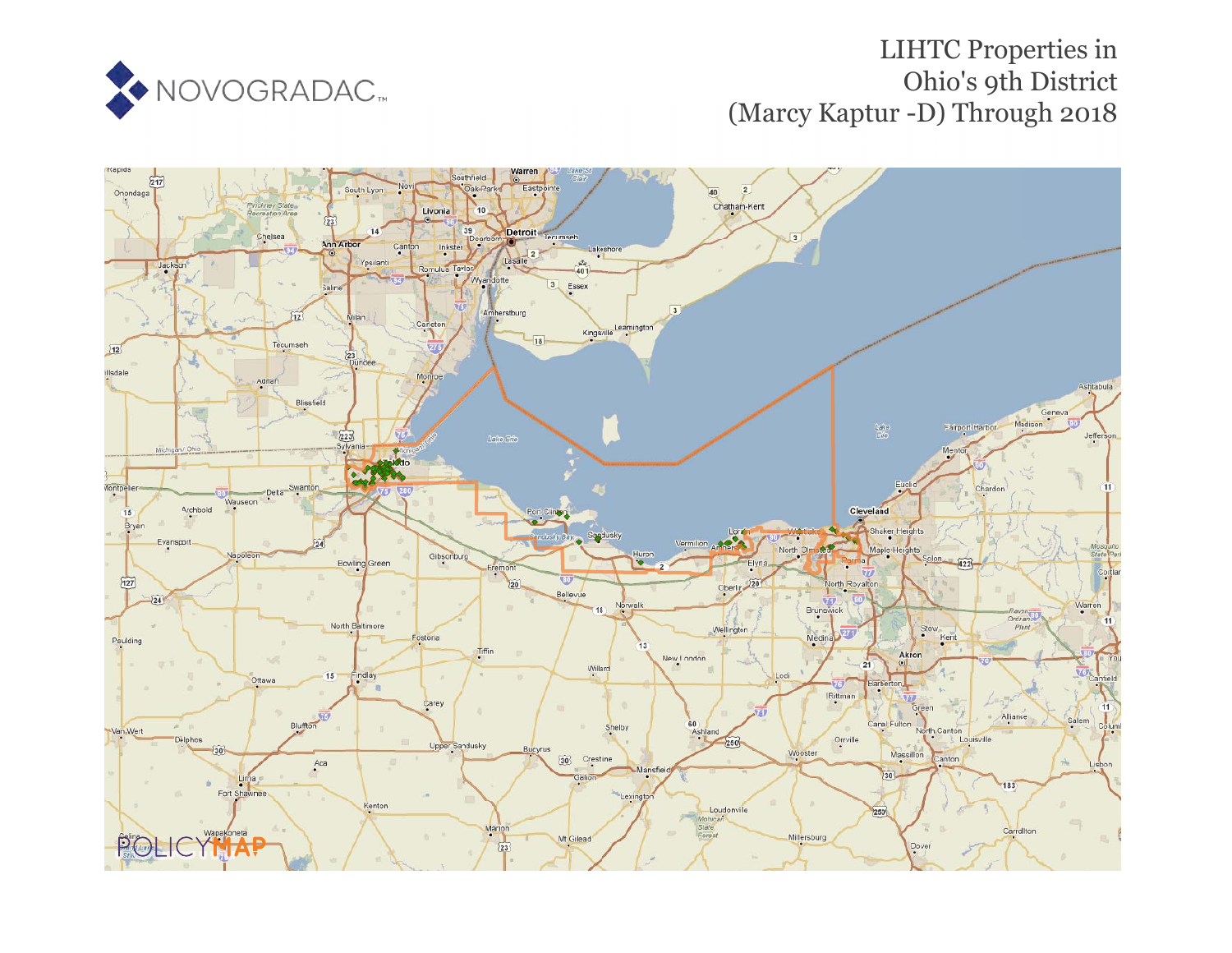

# LIHTC Properties in Ohio's 9th District (Marcy Kaptur -D) Through 2018

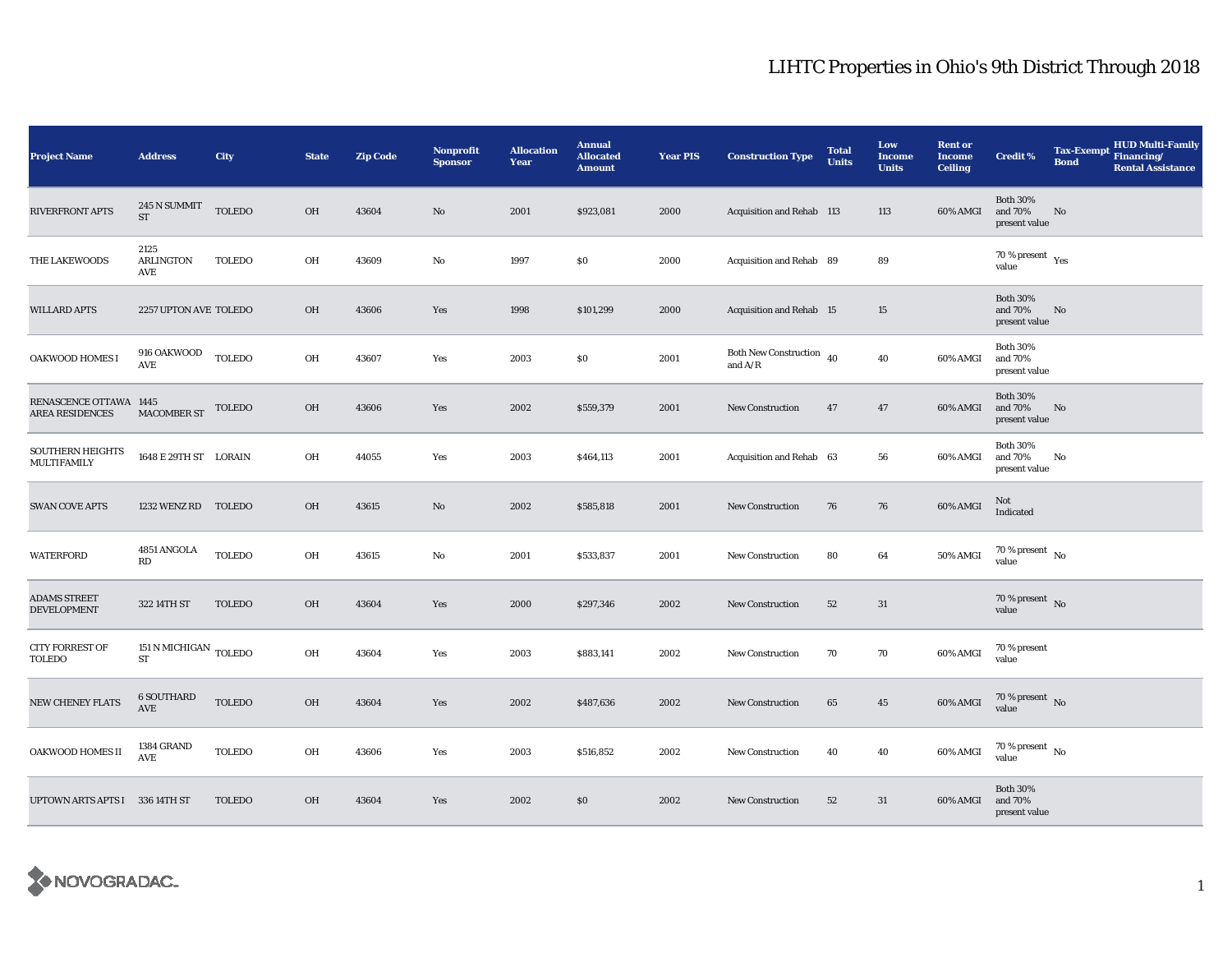| <b>Project Name</b>                              | <b>Address</b>                                  | City          | <b>State</b> | <b>Zip Code</b> | <b>Nonprofit</b><br><b>Sponsor</b> | <b>Allocation</b><br>Year | <b>Annual</b><br><b>Allocated</b><br><b>Amount</b> | <b>Year PIS</b> | <b>Construction Type</b>                            | <b>Total</b><br><b>Units</b> | Low<br><b>Income</b><br><b>Units</b> | <b>Rent or</b><br><b>Income</b><br><b>Ceiling</b> | <b>Credit %</b>                             | <b>Tax-Exempt</b><br><b>Bond</b> | HUD Multi-Family<br>Financing/<br><b>Rental Assistance</b> |
|--------------------------------------------------|-------------------------------------------------|---------------|--------------|-----------------|------------------------------------|---------------------------|----------------------------------------------------|-----------------|-----------------------------------------------------|------------------------------|--------------------------------------|---------------------------------------------------|---------------------------------------------|----------------------------------|------------------------------------------------------------|
| RIVERFRONT APTS                                  | $245\,\mathrm{N}$ SUMMIT<br>$\operatorname{ST}$ | <b>TOLEDO</b> | OH           | 43604           | $\mathbf{N}\mathbf{o}$             | 2001                      | \$923,081                                          | 2000            | <b>Acquisition and Rehab 113</b>                    |                              | 113                                  | 60% AMGI                                          | <b>Both 30%</b><br>and 70%<br>present value | No                               |                                                            |
| THE LAKEWOODS                                    | 2125<br><b>ARLINGTON</b><br>AVE                 | <b>TOLEDO</b> | OH           | 43609           | No                                 | 1997                      | \$0                                                | 2000            | Acquisition and Rehab 89                            |                              | 89                                   |                                                   | 70 % present $\rm\thinspace_{Yes}$<br>value |                                  |                                                            |
| <b>WILLARD APTS</b>                              | 2257 UPTON AVE TOLEDO                           |               | OH           | 43606           | Yes                                | 1998                      | \$101,299                                          | 2000            | Acquisition and Rehab 15                            |                              | $15\,$                               |                                                   | <b>Both 30%</b><br>and 70%<br>present value | No                               |                                                            |
| OAKWOOD HOMES I                                  | 916 OAKWOOD<br>AVE                              | <b>TOLEDO</b> | OH           | 43607           | Yes                                | 2003                      | \$0                                                | 2001            | Both New Construction $\,$ 40 $\,$<br>and $\rm A/R$ |                              | 40                                   | 60% AMGI                                          | <b>Both 30%</b><br>and 70%<br>present value |                                  |                                                            |
| RENASCENCE OTTAWA 1445<br><b>AREA RESIDENCES</b> | <b>MACOMBER ST</b>                              | <b>TOLEDO</b> | OH           | 43606           | Yes                                | 2002                      | \$559,379                                          | 2001            | <b>New Construction</b>                             | 47                           | 47                                   | 60% AMGI                                          | <b>Both 30%</b><br>and 70%<br>present value | No                               |                                                            |
| SOUTHERN HEIGHTS<br>MULTIFAMILY                  | 1648 E 29TH ST LORAIN                           |               | OH           | 44055           | Yes                                | 2003                      | \$464,113                                          | 2001            | Acquisition and Rehab 63                            |                              | 56                                   | 60% AMGI                                          | <b>Both 30%</b><br>and 70%<br>present value | No                               |                                                            |
| <b>SWAN COVE APTS</b>                            | 1232 WENZ RD TOLEDO                             |               | OH           | 43615           | No                                 | 2002                      | \$585,818                                          | 2001            | <b>New Construction</b>                             | 76                           | 76                                   | 60% AMGI                                          | Not<br>Indicated                            |                                  |                                                            |
| WATERFORD                                        | 4851 ANGOLA<br>RD                               | <b>TOLEDO</b> | OH           | 43615           | No                                 | 2001                      | \$533,837                                          | 2001            | New Construction                                    | 80                           | 64                                   | 50% AMGI                                          | 70 % present $\hbox{~No}$<br>value          |                                  |                                                            |
| <b>ADAMS STREET</b><br><b>DEVELOPMENT</b>        | 322 14TH ST                                     | <b>TOLEDO</b> | OH           | 43604           | Yes                                | 2000                      | \$297,346                                          | 2002            | New Construction                                    | 52                           | 31                                   |                                                   | 70 % present $\,$ No $\,$<br>value          |                                  |                                                            |
| <b>CITY FORREST OF</b><br>TOLEDO                 | $151$ N MICHIGAN $_{\rm TOLEDO}$<br>${\rm ST}$  |               | OH           | 43604           | Yes                                | 2003                      | \$883,141                                          | 2002            | <b>New Construction</b>                             | 70                           | 70                                   | 60% AMGI                                          | 70 % present<br>value                       |                                  |                                                            |
| <b>NEW CHENEY FLATS</b>                          | <b>6 SOUTHARD</b><br>AVE                        | <b>TOLEDO</b> | OH           | 43604           | Yes                                | 2002                      | \$487,636                                          | 2002            | New Construction                                    | 65                           | 45                                   | 60% AMGI                                          | 70 % present $\hbox{~No}$<br>value          |                                  |                                                            |
| OAKWOOD HOMES II                                 | 1384 GRAND<br>AVE                               | <b>TOLEDO</b> | OH           | 43606           | Yes                                | 2003                      | \$516,852                                          | 2002            | <b>New Construction</b>                             | 40                           | 40                                   | 60% AMGI                                          | 70 % present $\hbox{~No}$<br>value          |                                  |                                                            |
| UPTOWN ARTS APTS I 336 14TH ST                   |                                                 | <b>TOLEDO</b> | OH           | 43604           | Yes                                | 2002                      | \$0                                                | 2002            | <b>New Construction</b>                             | 52                           | 31                                   | 60% AMGI                                          | <b>Both 30%</b><br>and 70%<br>present value |                                  |                                                            |

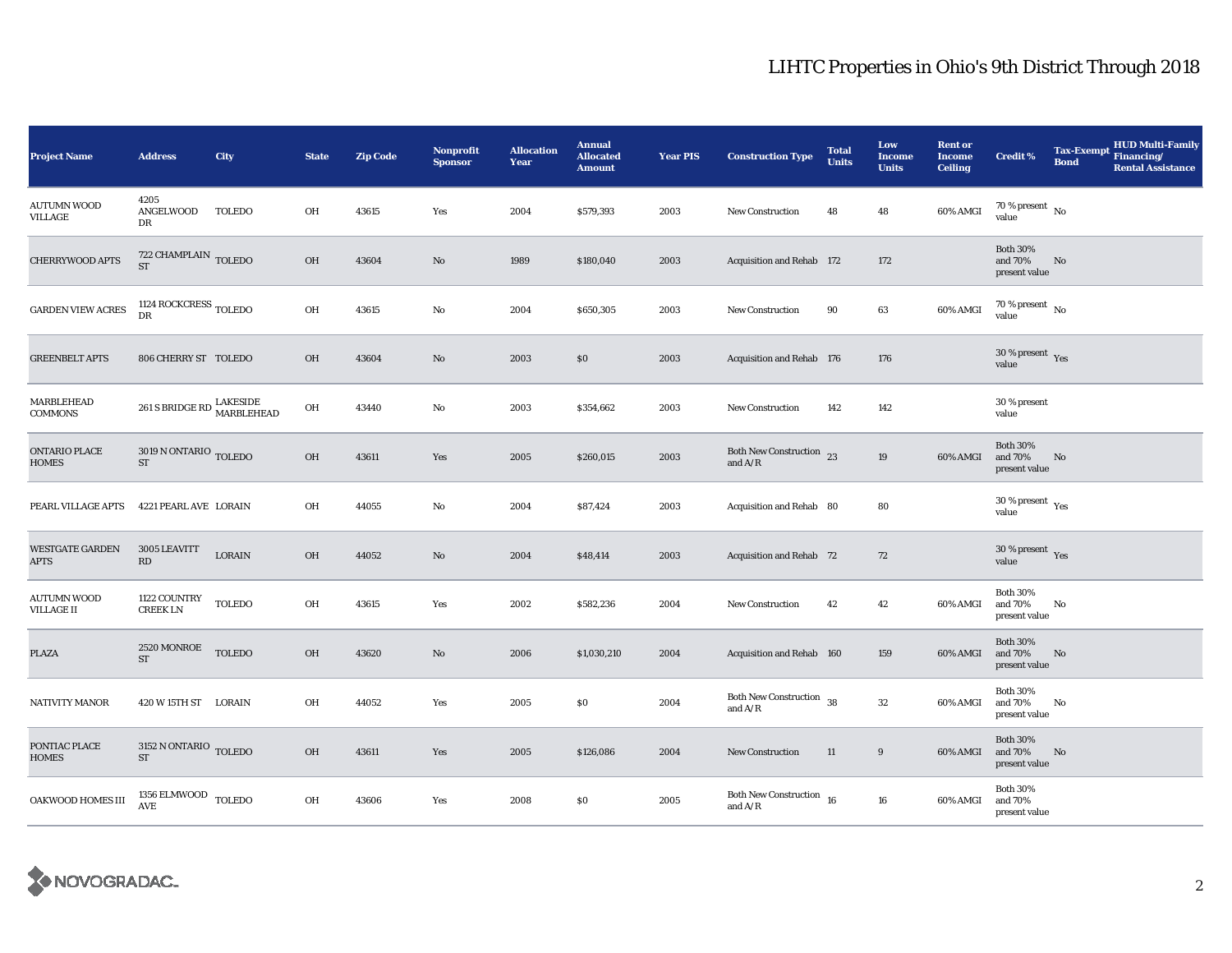| <b>Project Name</b>                   | <b>Address</b>                                                    | City          | <b>State</b> | <b>Zip Code</b> | <b>Nonprofit</b><br><b>Sponsor</b> | <b>Allocation</b><br>Year | <b>Annual</b><br><b>Allocated</b><br><b>Amount</b> | <b>Year PIS</b> | <b>Construction Type</b>                    | <b>Total</b><br><b>Units</b> | Low<br><b>Income</b><br><b>Units</b> | <b>Rent or</b><br><b>Income</b><br><b>Ceiling</b> | <b>Credit %</b>                                      | <b>Tax-Exempt</b><br><b>Bond</b> | <b>HUD Multi-Family</b><br>Financing/<br><b>Rental Assistance</b> |
|---------------------------------------|-------------------------------------------------------------------|---------------|--------------|-----------------|------------------------------------|---------------------------|----------------------------------------------------|-----------------|---------------------------------------------|------------------------------|--------------------------------------|---------------------------------------------------|------------------------------------------------------|----------------------------------|-------------------------------------------------------------------|
| AUTUMN WOOD<br>VILLAGE                | 4205<br>ANGELWOOD<br>DR                                           | TOLEDO        | OH           | 43615           | Yes                                | 2004                      | \$579,393                                          | 2003            | <b>New Construction</b>                     | 48                           | 48                                   | 60% AMGI                                          | 70 % present $\hbox{~No}$<br>value                   |                                  |                                                                   |
| CHERRYWOOD APTS                       | $722$ CHAMPLAIN $_{\rm TOLEDO}$<br><b>ST</b>                      |               | OH           | 43604           | No                                 | 1989                      | \$180,040                                          | 2003            | Acquisition and Rehab 172                   |                              | 172                                  |                                                   | <b>Both 30%</b><br>and 70%<br>present value          | No                               |                                                                   |
| <b>GARDEN VIEW ACRES</b>              | 1124 ROCKCRESS $_{\rm TOLEDO}$<br><b>DR</b>                       |               | OH           | 43615           | No                                 | 2004                      | \$650,305                                          | 2003            | New Construction                            | 90                           | 63                                   | 60% AMGI                                          | $70$ % present $\,$ No value                         |                                  |                                                                   |
| <b>GREENBELT APTS</b>                 | 806 CHERRY ST TOLEDO                                              |               | OH           | 43604           | No                                 | 2003                      | \$0                                                | 2003            | Acquisition and Rehab 176                   |                              | 176                                  |                                                   | $30$ % present $\,$ $\rm Yes$<br>value               |                                  |                                                                   |
| MARBLEHEAD<br>COMMONS                 | $261$ S BRIDGE RD $\frac{\textup{LAKESIDE}}{\textup{MARBLEHEAD}}$ |               | OH           | 43440           | No                                 | 2003                      | \$354,662                                          | 2003            | <b>New Construction</b>                     | 142                          | 142                                  |                                                   | 30 % present<br>value                                |                                  |                                                                   |
| ONTARIO PLACE<br>HOMES                | $3019$ N ONTARIO $_{\rm TOLEDO}$<br>$\operatorname{ST}$           |               | OH           | 43611           | Yes                                | 2005                      | \$260,015                                          | 2003            | Both New Construction 23<br>and $A/R$       |                              | 19                                   | 60% AMGI                                          | <b>Both 30%</b><br>and 70%<br>present value          | No                               |                                                                   |
| PEARL VILLAGE APTS                    | 4221 PEARL AVE LORAIN                                             |               | OH           | 44055           | No                                 | 2004                      | \$87,424                                           | 2003            | Acquisition and Rehab 80                    |                              | 80                                   |                                                   | 30 % present $\rm\thinspace\gamma_{\rm es}$<br>value |                                  |                                                                   |
| <b>WESTGATE GARDEN</b><br><b>APTS</b> | 3005 LEAVITT<br>RD                                                | <b>LORAIN</b> | OH           | 44052           | No                                 | 2004                      | \$48,414                                           | 2003            | Acquisition and Rehab 72                    |                              | 72                                   |                                                   | 30 % present $\gamma_{\rm e s}$<br>value             |                                  |                                                                   |
| AUTUMN WOOD<br><b>VILLAGE II</b>      | 1122 COUNTRY<br><b>CREEK LN</b>                                   | <b>TOLEDO</b> | OH           | 43615           | Yes                                | 2002                      | \$582,236                                          | 2004            | <b>New Construction</b>                     | 42                           | 42                                   | 60% AMGI                                          | <b>Both 30%</b><br>and 70%<br>present value          | No                               |                                                                   |
| PLAZA                                 | 2520 MONROE<br><b>ST</b>                                          | <b>TOLEDO</b> | OH           | 43620           | No                                 | 2006                      | \$1,030,210                                        | 2004            | Acquisition and Rehab 160                   |                              | 159                                  | 60% AMGI                                          | <b>Both 30%</b><br>and 70%<br>present value          | No                               |                                                                   |
| <b>NATIVITY MANOR</b>                 | 420 W 15TH ST LORAIN                                              |               | OH           | 44052           | Yes                                | 2005                      | \$0                                                | 2004            | Both New Construction $\,$ 38<br>and $A/R$  |                              | $32\,$                               | 60% AMGI                                          | <b>Both 30%</b><br>and 70%<br>present value          | No                               |                                                                   |
| PONTIAC PLACE<br><b>HOMES</b>         | $3152$ N ONTARIO $\,$ TOLEDO $\,$<br>${\rm ST}$                   |               | OH           | 43611           | Yes                                | 2005                      | \$126,086                                          | 2004            | <b>New Construction</b>                     | 11                           | 9                                    | 60% AMGI                                          | <b>Both 30%</b><br>and 70%<br>present value          | No                               |                                                                   |
| OAKWOOD HOMES III                     | $1356$ ELMWOOD $\,$ TOLEDO<br>AVE                                 |               | OH           | 43606           | Yes                                | 2008                      | \$0\$                                              | 2005            | Both New Construction $16$<br>and $\rm A/R$ |                              | 16                                   | 60% AMGI                                          | <b>Both 30%</b><br>and 70%<br>present value          |                                  |                                                                   |

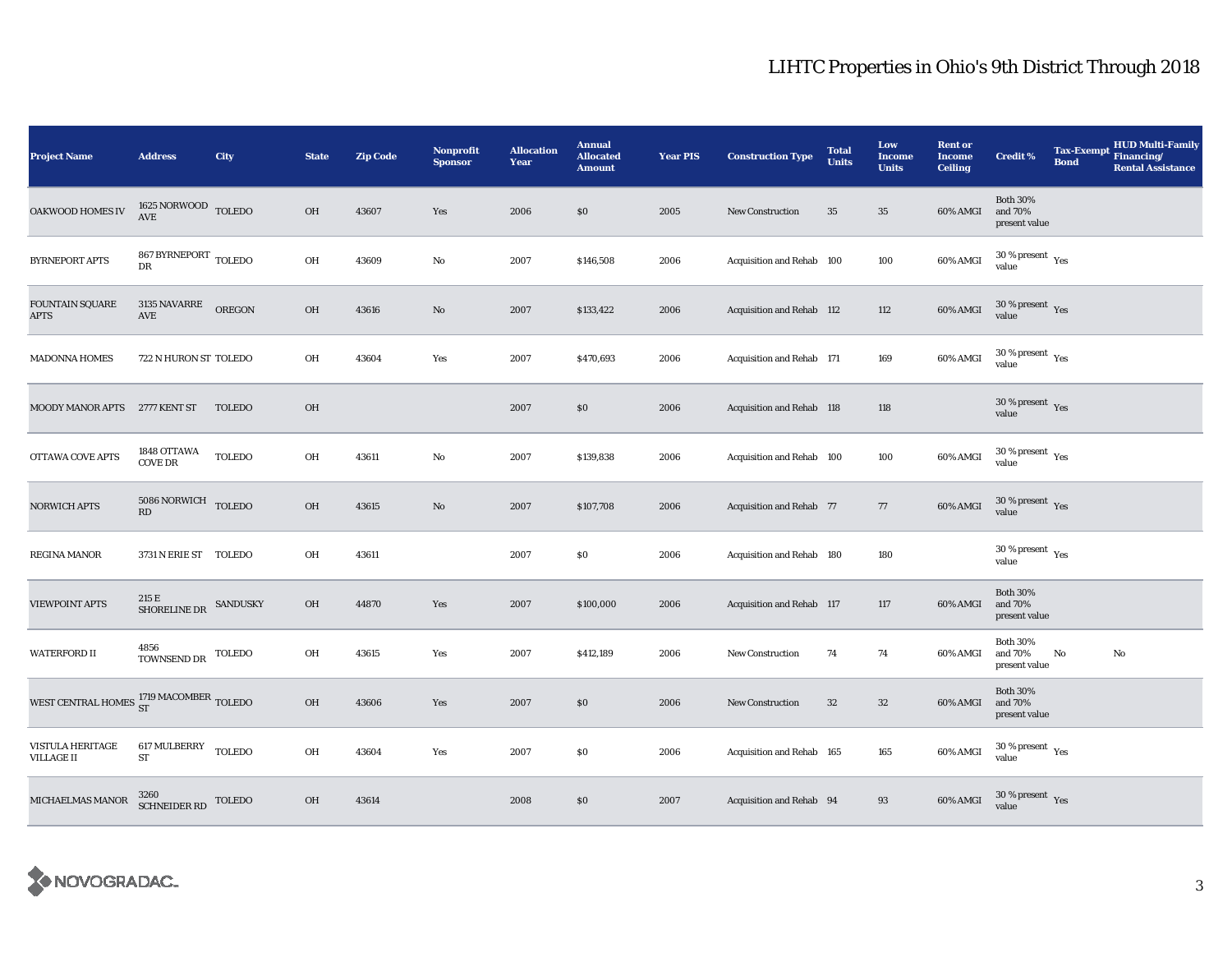| <b>Project Name</b>                                          | <b>Address</b>                                                 | City          | <b>State</b> | <b>Zip Code</b> | Nonprofit<br><b>Sponsor</b> | <b>Allocation</b><br>Year | <b>Annual</b><br><b>Allocated</b><br><b>Amount</b> | <b>Year PIS</b> | <b>Construction Type</b>         | <b>Total</b><br><b>Units</b> | Low<br>Income<br><b>Units</b> | <b>Rent or</b><br><b>Income</b><br><b>Ceiling</b> | <b>Credit %</b>                                 | Tax-Exempt Financing/<br><b>Bond</b> | <b>HUD Multi-Family</b><br><b>Rental Assistance</b> |
|--------------------------------------------------------------|----------------------------------------------------------------|---------------|--------------|-----------------|-----------------------------|---------------------------|----------------------------------------------------|-----------------|----------------------------------|------------------------------|-------------------------------|---------------------------------------------------|-------------------------------------------------|--------------------------------------|-----------------------------------------------------|
| OAKWOOD HOMES IV                                             | $1625\,\mbox{NORMOOD}$ TOLEDO<br>$\operatorname{\mathbf{AVE}}$ |               | OH           | 43607           | Yes                         | 2006                      | \$0                                                | 2005            | <b>New Construction</b>          | 35                           | 35                            | 60% AMGI                                          | <b>Both 30%</b><br>and 70%<br>present value     |                                      |                                                     |
| <b>BYRNEPORT APTS</b>                                        | 867 BYRNEPORT TOLEDO<br>DR                                     |               | OH           | 43609           | No                          | 2007                      | \$146,508                                          | 2006            | Acquisition and Rehab 100        |                              | 100                           | 60% AMGI                                          | $30\,\%$ present $\,$ $\rm Yes$<br>value        |                                      |                                                     |
| <b>FOUNTAIN SQUARE</b><br>APTS                               | 3135 NAVARRE<br>$\operatorname{AVE}$                           | <b>OREGON</b> | OH           | 43616           | No                          | 2007                      | \$133,422                                          | 2006            | <b>Acquisition and Rehab 112</b> |                              | 112                           | 60% AMGI                                          | $30\,\%$ present $\,$ Yes value                 |                                      |                                                     |
| <b>MADONNA HOMES</b>                                         | 722 N HURON ST TOLEDO                                          |               | OH           | 43604           | Yes                         | 2007                      | \$470,693                                          | 2006            | Acquisition and Rehab 171        |                              | 169                           | 60% AMGI                                          | $30\ \%$ present $\rm\thinspace\gamma es$ value |                                      |                                                     |
| MOODY MANOR APTS                                             | 2777 KENT ST                                                   | <b>TOLEDO</b> | OH           |                 |                             | 2007                      | \$0                                                | 2006            | <b>Acquisition and Rehab 118</b> |                              | 118                           |                                                   | 30 % present $\gamma_{\rm{es}}$<br>value        |                                      |                                                     |
| OTTAWA COVE APTS                                             | 1848 OTTAWA<br><b>COVE DR</b>                                  | <b>TOLEDO</b> | OH           | 43611           | No                          | 2007                      | \$139,838                                          | 2006            | Acquisition and Rehab 100        |                              | 100                           | 60% AMGI                                          | $30$ % present $\,$ $\rm Yes$<br>value          |                                      |                                                     |
| NORWICH APTS                                                 | $5086$ NORWICH $\,$ TOLEDO<br>RD                               |               | OH           | 43615           | $\mathbf{No}$               | 2007                      | \$107,708                                          | 2006            | <b>Acquisition and Rehab 77</b>  |                              | 77                            | 60% AMGI                                          | $30\,\%$ present $\,$ Yes value                 |                                      |                                                     |
| REGINA MANOR                                                 | 3731 N ERIE ST TOLEDO                                          |               | OH           | 43611           |                             | 2007                      | \$0\$                                              | 2006            | Acquisition and Rehab 180        |                              | 180                           |                                                   | $30$ % present $\rm\thinspace\,Yes$<br>value    |                                      |                                                     |
| <b>VIEWPOINT APTS</b>                                        | 215 E<br>SHORELINE DR SANDUSKY                                 |               | OH           | 44870           | Yes                         | 2007                      | \$100,000                                          | 2006            | Acquisition and Rehab 117        |                              | 117                           | 60% AMGI                                          | <b>Both 30%</b><br>and 70%<br>present value     |                                      |                                                     |
| WATERFORD II                                                 | 4856<br>TOWNSEND DR                                            | TOLEDO        | OH           | 43615           | Yes                         | 2007                      | \$412,189                                          | 2006            | <b>New Construction</b>          | 74                           | 74                            | 60% AMGI                                          | <b>Both 30%</b><br>and 70%<br>present value     | No                                   | No                                                  |
| WEST CENTRAL HOMES $_{\rm ST}^{1719\ {\rm MACOMBER}}$ TOLEDO |                                                                |               | OH           | 43606           | Yes                         | 2007                      | \$0                                                | 2006            | <b>New Construction</b>          | $32\,$                       | $32\,$                        | 60% AMGI                                          | <b>Both 30%</b><br>and 70%<br>present value     |                                      |                                                     |
| <b>VISTULA HERITAGE</b><br><b>VILLAGE II</b>                 | 617 MULBERRY TOLEDO<br>${\rm ST}$                              |               | OH           | 43604           | Yes                         | 2007                      | $\$0$                                              | 2006            | Acquisition and Rehab 165        |                              | 165                           | 60% AMGI                                          | $30\,\%$ present $\,$ Yes value                 |                                      |                                                     |
| MICHAELMAS MANOR                                             | $3260$ SCHNEIDER RD TOLEDO                                     |               | OH           | 43614           |                             | 2008                      | \$0                                                | 2007            | Acquisition and Rehab 94         |                              | 93                            | 60% AMGI                                          | $30\,\%$ present $\,$ Yes value                 |                                      |                                                     |

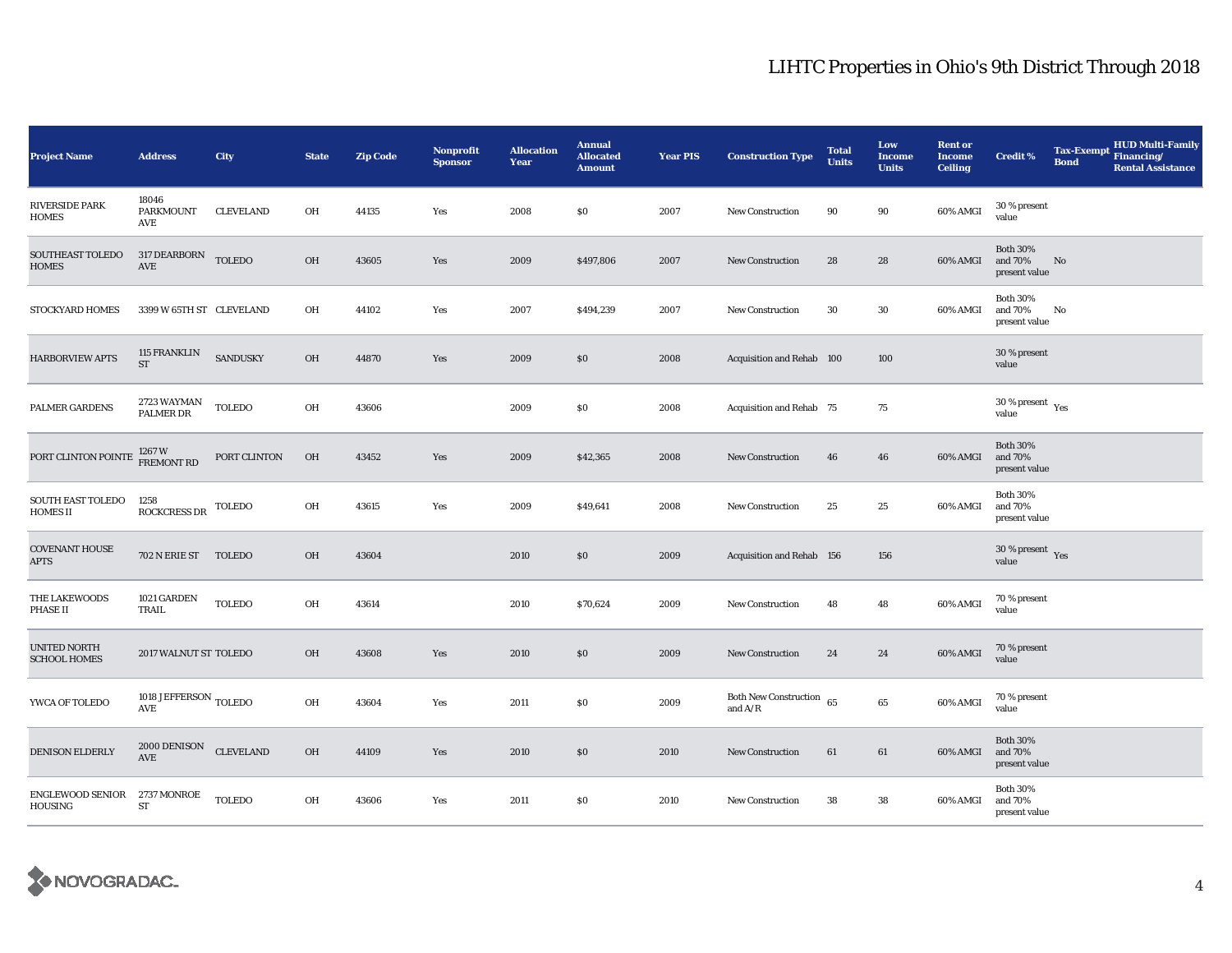| <b>Project Name</b>                        | <b>Address</b>                                   | City             | <b>State</b> | <b>Zip Code</b> | <b>Nonprofit</b><br><b>Sponsor</b> | <b>Allocation</b><br>Year | <b>Annual</b><br><b>Allocated</b><br><b>Amount</b> | <b>Year PIS</b> | <b>Construction Type</b>                | <b>Total</b><br><b>Units</b> | Low<br><b>Income</b><br><b>Units</b> | <b>Rent or</b><br><b>Income</b><br><b>Ceiling</b> | <b>Credit %</b>                             | <b>Tax-Exempt</b><br><b>Bond</b> | <b>HUD Multi-Family</b><br>Financing/<br><b>Rental Assistance</b> |
|--------------------------------------------|--------------------------------------------------|------------------|--------------|-----------------|------------------------------------|---------------------------|----------------------------------------------------|-----------------|-----------------------------------------|------------------------------|--------------------------------------|---------------------------------------------------|---------------------------------------------|----------------------------------|-------------------------------------------------------------------|
| <b>RIVERSIDE PARK</b><br><b>HOMES</b>      | 18046<br>PARKMOUNT<br>AVE                        | <b>CLEVELAND</b> | OH           | 44135           | Yes                                | 2008                      | \$0                                                | 2007            | New Construction                        | 90                           | $90\,$                               | 60% AMGI                                          | 30 % present<br>value                       |                                  |                                                                   |
| SOUTHEAST TOLEDO<br><b>HOMES</b>           | 317 DEARBORN TOLEDO<br>AVE                       |                  | OH           | 43605           | Yes                                | 2009                      | \$497,806                                          | 2007            | <b>New Construction</b>                 | 28                           | 28                                   | 60% AMGI                                          | <b>Both 30%</b><br>and 70%<br>present value | No                               |                                                                   |
| STOCKYARD HOMES                            | 3399 W 65TH ST CLEVELAND                         |                  | OH           | 44102           | Yes                                | 2007                      | \$494,239                                          | 2007            | New Construction                        | 30                           | 30                                   | 60% AMGI                                          | <b>Both 30%</b><br>and 70%<br>present value | No                               |                                                                   |
| <b>HARBORVIEW APTS</b>                     | <b>115 FRANKLIN</b><br><b>ST</b>                 | SANDUSKY         | <b>OH</b>    | 44870           | Yes                                | 2009                      | \$0                                                | 2008            | Acquisition and Rehab 100               |                              | 100                                  |                                                   | 30 % present<br>value                       |                                  |                                                                   |
| <b>PALMER GARDENS</b>                      | 2723 WAYMAN<br>PALMER DR                         | <b>TOLEDO</b>    | OH           | 43606           |                                    | 2009                      | \$0                                                | 2008            | Acquisition and Rehab 75                |                              | 75                                   |                                                   | 30 % present $\rm\,Yes$<br>value            |                                  |                                                                   |
| PORT CLINTON POINTE                        | 1267 W<br>FREMONT RD                             | PORT CLINTON     | OH           | 43452           | Yes                                | 2009                      | \$42,365                                           | 2008            | New Construction                        | 46                           | 46                                   | 60% AMGI                                          | <b>Both 30%</b><br>and 70%<br>present value |                                  |                                                                   |
| SOUTH EAST TOLEDO<br><b>HOMES II</b>       | 1258<br><b>ROCKCRESS DR</b>                      | <b>TOLEDO</b>    | OH           | 43615           | Yes                                | 2009                      | \$49,641                                           | 2008            | New Construction                        | 25                           | 25                                   | 60% AMGI                                          | <b>Both 30%</b><br>and 70%<br>present value |                                  |                                                                   |
| <b>COVENANT HOUSE</b><br><b>APTS</b>       | 702 N ERIE ST                                    | <b>TOLEDO</b>    | <b>OH</b>    | 43604           |                                    | 2010                      | \$0                                                | 2009            | Acquisition and Rehab 156               |                              | 156                                  |                                                   | 30 % present $\gamma_{\rm e s}$<br>value    |                                  |                                                                   |
| THE LAKEWOODS<br><b>PHASE II</b>           | 1021 GARDEN<br>TRAIL                             | <b>TOLEDO</b>    | OH           | 43614           |                                    | 2010                      | \$70,624                                           | 2009            | <b>New Construction</b>                 | 48                           | 48                                   | 60% AMGI                                          | 70 % present<br>value                       |                                  |                                                                   |
| <b>UNITED NORTH</b><br><b>SCHOOL HOMES</b> | 2017 WALNUT ST TOLEDO                            |                  | OH           | 43608           | Yes                                | 2010                      | \$0                                                | 2009            | <b>New Construction</b>                 | 24                           | 24                                   | 60% AMGI                                          | 70 % present<br>value                       |                                  |                                                                   |
| YWCA OF TOLEDO                             | 1018 JEFFERSON TOLEDO<br>AVE                     |                  | OH           | 43604           | Yes                                | 2011                      | \$0                                                | 2009            | Both New Construction $65$<br>and $A/R$ |                              | $\bf{65}$                            | 60% AMGI                                          | 70 % present<br>value                       |                                  |                                                                   |
| DENISON ELDERLY                            | $2000$ DENISON CLEVELAND<br>$\operatorname{AVE}$ |                  | OH           | 44109           | Yes                                | 2010                      | \$0                                                | 2010            | <b>New Construction</b>                 | 61                           | 61                                   | 60% AMGI                                          | <b>Both 30%</b><br>and 70%<br>present value |                                  |                                                                   |
| <b>ENGLEWOOD SENIOR</b><br>HOUSING         | 2737 MONROE<br>ST                                | <b>TOLEDO</b>    | OH           | 43606           | Yes                                | 2011                      | \$0                                                | 2010            | New Construction                        | 38                           | 38                                   | 60% AMGI                                          | <b>Both 30%</b><br>and 70%<br>present value |                                  |                                                                   |

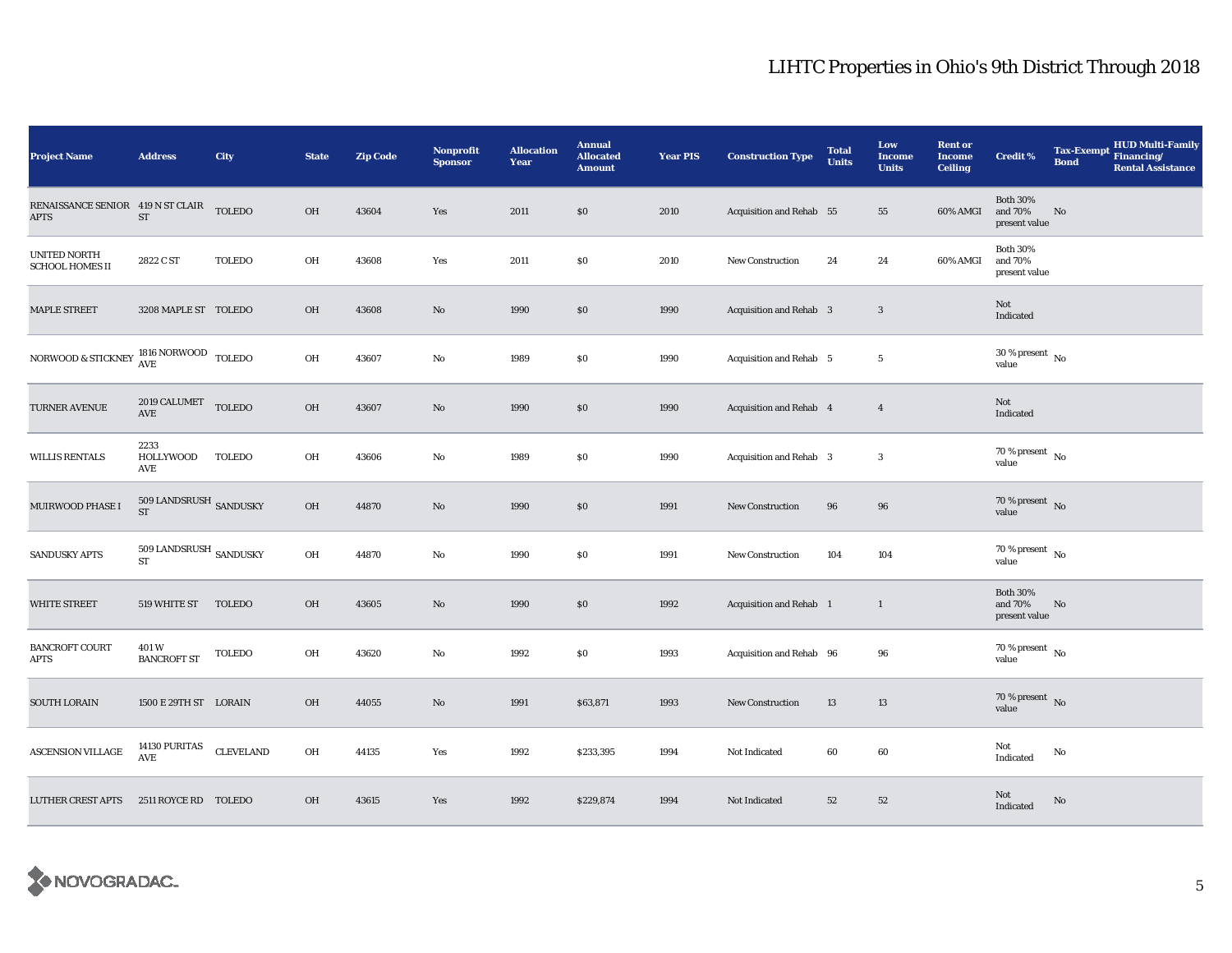| <b>Project Name</b>                                               | <b>Address</b>                              | City             | <b>State</b> | <b>Zip Code</b> | <b>Nonprofit</b><br><b>Sponsor</b> | <b>Allocation</b><br>Year | <b>Annual</b><br><b>Allocated</b><br><b>Amount</b> | <b>Year PIS</b> | <b>Construction Type</b>       | <b>Total</b><br><b>Units</b> | Low<br><b>Income</b><br><b>Units</b> | <b>Rent or</b><br><b>Income</b><br><b>Ceiling</b> | <b>Credit %</b>                             | Tax-Exempt Financing/<br><b>Bond</b> | <b>HUD Multi-Family</b><br><b>Rental Assistance</b> |
|-------------------------------------------------------------------|---------------------------------------------|------------------|--------------|-----------------|------------------------------------|---------------------------|----------------------------------------------------|-----------------|--------------------------------|------------------------------|--------------------------------------|---------------------------------------------------|---------------------------------------------|--------------------------------------|-----------------------------------------------------|
| RENAISSANCE SENIOR 419 N ST CLAIR<br>APTS                         | ${\rm ST}$                                  | <b>TOLEDO</b>    | OH           | 43604           | Yes                                | 2011                      | \$0                                                | 2010            | Acquisition and Rehab 55       |                              | 55                                   | 60% AMGI                                          | <b>Both 30%</b><br>and 70%<br>present value | $\rm No$                             |                                                     |
| UNITED NORTH<br><b>SCHOOL HOMES II</b>                            | 2822 C ST                                   | <b>TOLEDO</b>    | OH           | 43608           | Yes                                | 2011                      | \$0                                                | 2010            | <b>New Construction</b>        | 24                           | 24                                   | 60% AMGI                                          | <b>Both 30%</b><br>and 70%<br>present value |                                      |                                                     |
| <b>MAPLE STREET</b>                                               | 3208 MAPLE ST TOLEDO                        |                  | <b>OH</b>    | 43608           | No                                 | 1990                      | $\$0$                                              | 1990            | <b>Acquisition and Rehab 3</b> |                              | $\boldsymbol{3}$                     |                                                   | Not<br>Indicated                            |                                      |                                                     |
| NORWOOD & STICKNEY $\frac{\rm 1816}{\rm AVE}$ NORWOOD $\,$ TOLEDO |                                             |                  | OH           | 43607           | No                                 | 1989                      | \$0                                                | 1990            | Acquisition and Rehab 5        |                              | $5\,$                                |                                                   | $30$ % present $\,$ No $\,$<br>value        |                                      |                                                     |
| TURNER AVENUE                                                     | 2019 CALUMET<br>AVE                         | <b>TOLEDO</b>    | OH           | 43607           | $\rm No$                           | 1990                      | \$0                                                | 1990            | Acquisition and Rehab 4        |                              | $\overline{4}$                       |                                                   | Not<br>Indicated                            |                                      |                                                     |
| <b>WILLIS RENTALS</b>                                             | 2233<br><b>HOLLYWOOD</b><br><b>AVE</b>      | <b>TOLEDO</b>    | OH           | 43606           | $\mathbf{No}$                      | 1989                      | \$0                                                | 1990            | Acquisition and Rehab 3        |                              | $\boldsymbol{3}$                     |                                                   | 70 % present $\overline{N_0}$<br>value      |                                      |                                                     |
| MUIRWOOD PHASE I                                                  | $509$ LANDSRUSH $\,$ SANDUSKY<br>${\rm ST}$ |                  | OH           | 44870           | No                                 | 1990                      | \$0                                                | 1991            | <b>New Construction</b>        | 96                           | 96                                   |                                                   | $70\,\%$ present $\,$ No value              |                                      |                                                     |
| <b>SANDUSKY APTS</b>                                              | $509$ LANDSRUSH $\,$ SANDUSKY<br>ST         |                  | OH           | 44870           | No                                 | 1990                      | $\$0$                                              | 1991            | <b>New Construction</b>        | 104                          | 104                                  |                                                   | $70\,\%$ present $\,$ No value              |                                      |                                                     |
| <b>WHITE STREET</b>                                               | 519 WHITE ST TOLEDO                         |                  | OH           | 43605           | No                                 | 1990                      | \$0                                                | 1992            | Acquisition and Rehab 1        |                              | $\mathbf{1}$                         |                                                   | <b>Both 30%</b><br>and 70%<br>present value | No                                   |                                                     |
| <b>BANCROFT COURT</b><br><b>APTS</b>                              | 401 W<br><b>BANCROFT ST</b>                 | <b>TOLEDO</b>    | OH           | 43620           | No                                 | 1992                      | \$0                                                | 1993            | Acquisition and Rehab 96       |                              | 96                                   |                                                   | 70 % present $\,$ No $\,$<br>value          |                                      |                                                     |
| SOUTH LORAIN                                                      | 1500 E 29TH ST LORAIN                       |                  | OH           | 44055           | No                                 | 1991                      | \$63,871                                           | 1993            | <b>New Construction</b>        | 13                           | 13                                   |                                                   | 70 % present $\hbox{~No}$<br>value          |                                      |                                                     |
| <b>ASCENSION VILLAGE</b>                                          | $14130\ \mathrm{PURITAS}$<br>AVE            | <b>CLEVELAND</b> | OH           | 44135           | Yes                                | 1992                      | \$233,395                                          | 1994            | Not Indicated                  | 60                           | 60                                   |                                                   | Not<br>Indicated                            | No                                   |                                                     |
| <b>LUTHER CREST APTS</b>                                          | 2511 ROYCE RD TOLEDO                        |                  | OH           | 43615           | Yes                                | 1992                      | \$229,874                                          | 1994            | Not Indicated                  | 52                           | 52                                   |                                                   | Not<br>Indicated                            | $\mathbf{N}\mathbf{o}$               |                                                     |

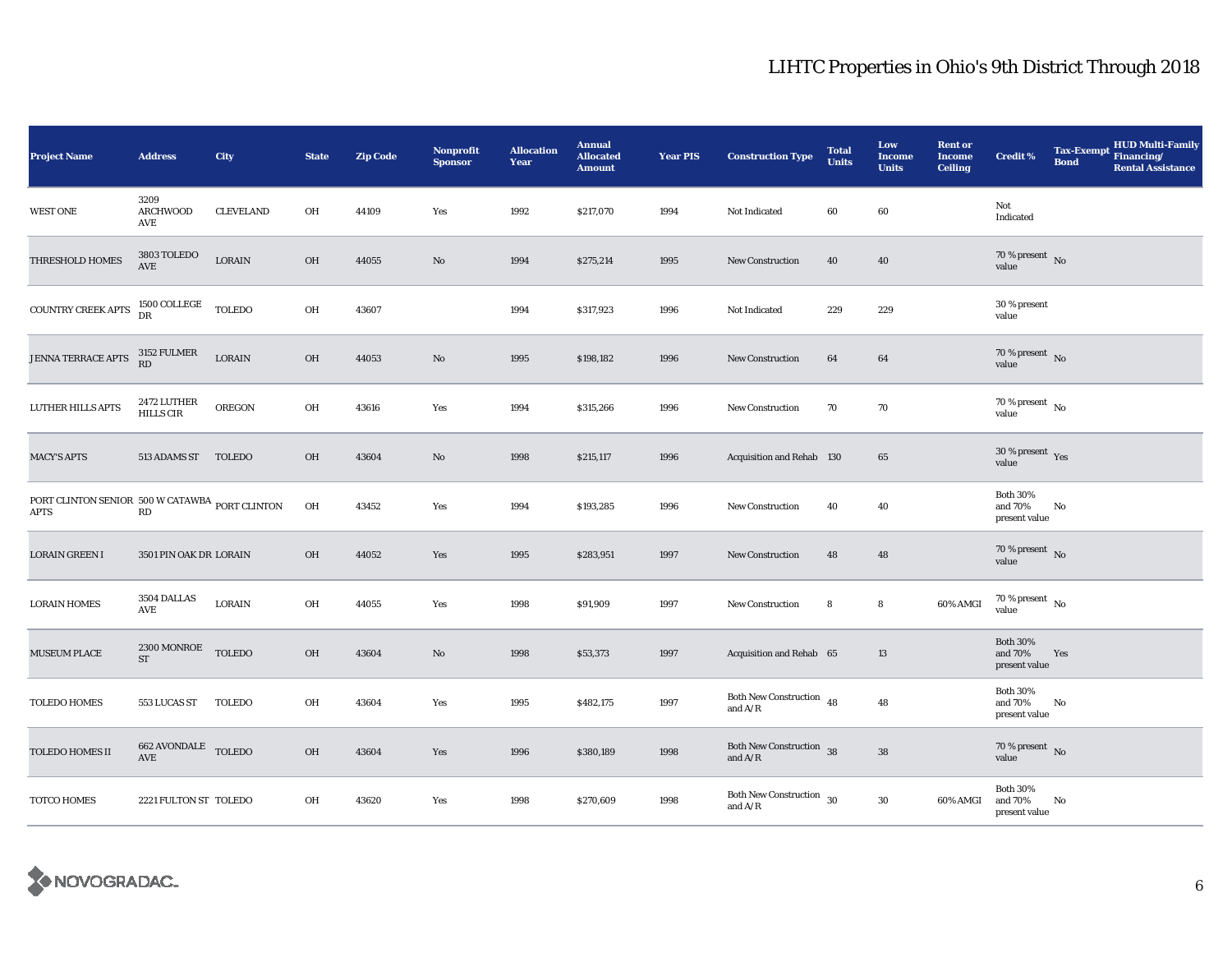| <b>Project Name</b>                                           | <b>Address</b>                                        | City             | <b>State</b> | <b>Zip Code</b> | <b>Nonprofit</b><br><b>Sponsor</b> | <b>Allocation</b><br>Year | <b>Annual</b><br><b>Allocated</b><br><b>Amount</b> | <b>Year PIS</b> | <b>Construction Type</b>                   | <b>Total</b><br><b>Units</b> | Low<br><b>Income</b><br><b>Units</b> | <b>Rent or</b><br><b>Income</b><br><b>Ceiling</b> | <b>Credit %</b>                             | <b>Bond</b> | <b>HUD Multi-Family</b><br>Tax-Exempt Financing/<br><b>Rental Assistance</b> |
|---------------------------------------------------------------|-------------------------------------------------------|------------------|--------------|-----------------|------------------------------------|---------------------------|----------------------------------------------------|-----------------|--------------------------------------------|------------------------------|--------------------------------------|---------------------------------------------------|---------------------------------------------|-------------|------------------------------------------------------------------------------|
| <b>WEST ONE</b>                                               | 3209<br><b>ARCHWOOD</b><br>AVE                        | <b>CLEVELAND</b> | OH           | 44109           | Yes                                | 1992                      | \$217,070                                          | 1994            | Not Indicated                              | 60                           | 60                                   |                                                   | Not<br>Indicated                            |             |                                                                              |
| THRESHOLD HOMES                                               | 3803 TOLEDO<br>AVE                                    | LORAIN           | OH           | 44055           | $\rm No$                           | 1994                      | \$275,214                                          | 1995            | New Construction                           | 40                           | 40                                   |                                                   | 70 % present $\,$ No $\,$<br>value          |             |                                                                              |
| COUNTRY CREEK APTS                                            | 1500 COLLEGE<br>DR                                    | <b>TOLEDO</b>    | OH           | 43607           |                                    | 1994                      | \$317,923                                          | 1996            | Not Indicated                              | 229                          | 229                                  |                                                   | 30 % present<br>value                       |             |                                                                              |
| JENNA TERRACE APTS                                            | 3152 FULMER<br>RD                                     | $_{\rm LORAIN}$  | OH           | 44053           | $\mathbf{N}\mathbf{o}$             | 1995                      | \$198,182                                          | 1996            | New Construction                           | 64                           | 64                                   |                                                   | 70 % present $\hbox{~No}$<br>value          |             |                                                                              |
| <b>LUTHER HILLS APTS</b>                                      | 2472 LUTHER<br><b>HILLS CIR</b>                       | <b>OREGON</b>    | OH           | 43616           | Yes                                | 1994                      | \$315,266                                          | 1996            | New Construction                           | 70                           | 70                                   |                                                   | $70$ % present $\,$ No $\,$<br>value        |             |                                                                              |
| <b>MACY'S APTS</b>                                            | 513 ADAMS ST                                          | <b>TOLEDO</b>    | OH           | 43604           | $\rm No$                           | 1998                      | \$215,117                                          | 1996            | Acquisition and Rehab 130                  |                              | 65                                   |                                                   | 30 % present Yes<br>value                   |             |                                                                              |
| PORT CLINTON SENIOR 500 W CATAWBA PORT CLINTON<br><b>APTS</b> | RD                                                    |                  | OH           | 43452           | Yes                                | 1994                      | \$193,285                                          | 1996            | New Construction                           | 40                           | 40                                   |                                                   | <b>Both 30%</b><br>and 70%<br>present value | No          |                                                                              |
| <b>LORAIN GREEN I</b>                                         | 3501 PIN OAK DR LORAIN                                |                  | OH           | 44052           | Yes                                | 1995                      | \$283,951                                          | 1997            | New Construction                           | 48                           | 48                                   |                                                   | 70 % present $\,$ No $\,$<br>value          |             |                                                                              |
| <b>LORAIN HOMES</b>                                           | 3504 DALLAS<br>AVE                                    | LORAIN           | OH           | 44055           | Yes                                | 1998                      | \$91,909                                           | 1997            | New Construction                           | 8                            | 8                                    | 60% AMGI                                          | $70\,\%$ present $\,$ No $\,$<br>value      |             |                                                                              |
| <b>MUSEUM PLACE</b>                                           | 2300 MONROE TOLEDO<br><b>ST</b>                       |                  | <b>OH</b>    | 43604           | No                                 | 1998                      | \$53,373                                           | 1997            | Acquisition and Rehab 65                   |                              | 13                                   |                                                   | <b>Both 30%</b><br>and 70%<br>present value | Yes         |                                                                              |
| <b>TOLEDO HOMES</b>                                           | 553 LUCAS ST                                          | <b>TOLEDO</b>    | OH           | 43604           | Yes                                | 1995                      | \$482,175                                          | 1997            | Both New Construction 48<br>and $\rm A/R$  |                              | 48                                   |                                                   | <b>Both 30%</b><br>and 70%<br>present value | No          |                                                                              |
| TOLEDO HOMES II                                               | $662$ AVONDALE $\quad$ TOLEDO<br>$\operatorname{AVE}$ |                  | OH           | 43604           | Yes                                | 1996                      | \$380,189                                          | 1998            | Both New Construction 38<br>and $\rm{A/R}$ |                              | ${\bf 38}$                           |                                                   | $70\,\%$ present $\,$ No value              |             |                                                                              |
| TOTCO HOMES                                                   | 2221 FULTON ST TOLEDO                                 |                  | OH           | 43620           | Yes                                | 1998                      | \$270,609                                          | 1998            | Both New Construction 30<br>and $\rm A/R$  |                              | $30\,$                               | 60% AMGI                                          | <b>Both 30%</b><br>and 70%<br>present value | No          |                                                                              |

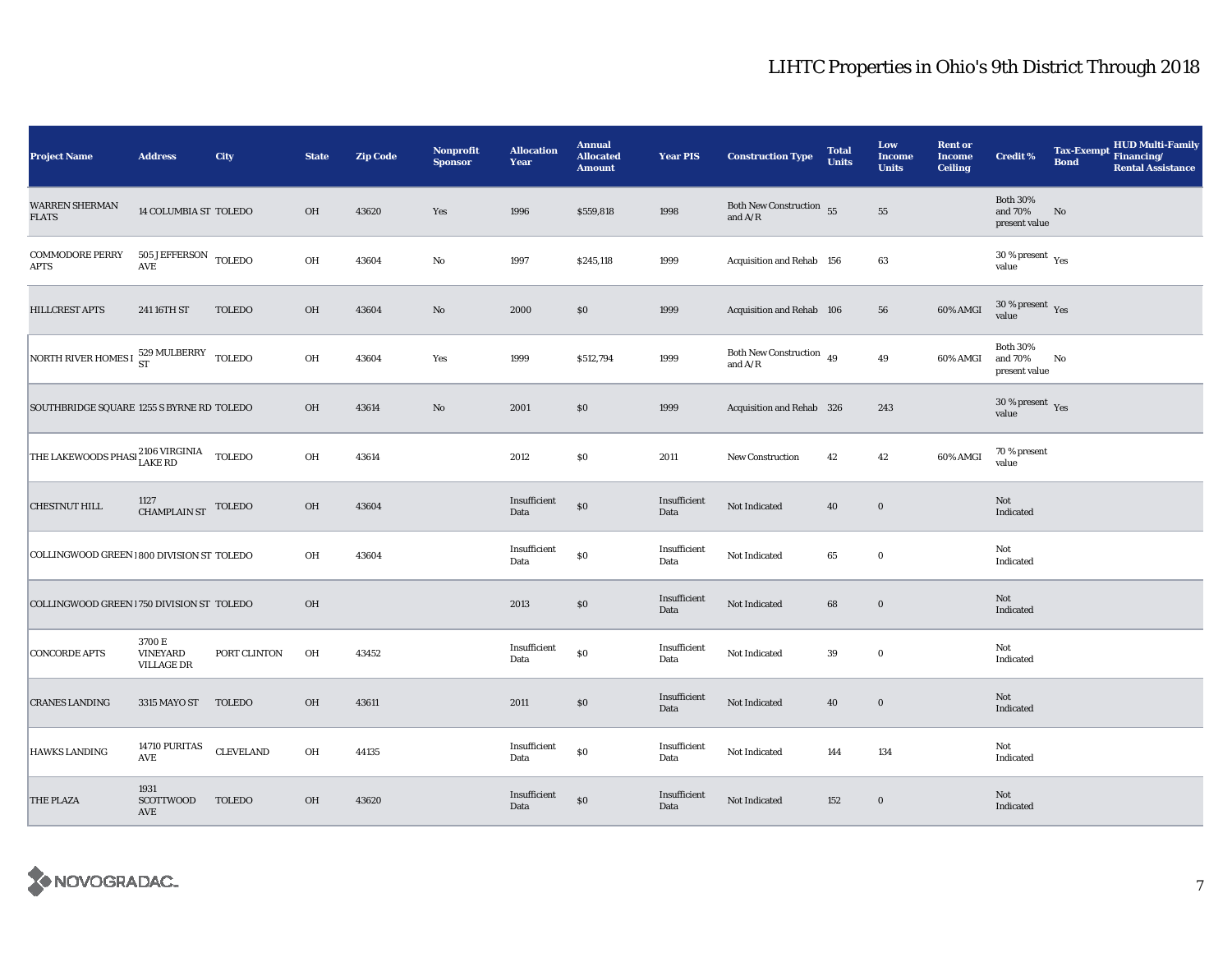| <b>Project Name</b>                                           | <b>Address</b>                                   | City             | <b>State</b> | <b>Zip Code</b> | <b>Nonprofit</b><br><b>Sponsor</b> | <b>Allocation</b><br>Year | <b>Annual</b><br><b>Allocated</b><br><b>Amount</b> | <b>Year PIS</b>      | <b>Construction Type</b>                                                          | <b>Total</b><br><b>Units</b> | Low<br><b>Income</b><br><b>Units</b> | <b>Rent or</b><br><b>Income</b><br><b>Ceiling</b> | <b>Credit %</b>                             | <b>Tax-Exempt</b><br><b>Bond</b> | HUD Multi-Family<br>Financing/<br><b>Rental Assistance</b> |
|---------------------------------------------------------------|--------------------------------------------------|------------------|--------------|-----------------|------------------------------------|---------------------------|----------------------------------------------------|----------------------|-----------------------------------------------------------------------------------|------------------------------|--------------------------------------|---------------------------------------------------|---------------------------------------------|----------------------------------|------------------------------------------------------------|
| <b>WARREN SHERMAN</b><br><b>FLATS</b>                         | 14 COLUMBIA ST TOLEDO                            |                  | <b>OH</b>    | 43620           | Yes                                | 1996                      | \$559,818                                          | 1998                 | Both New Construction 55<br>and $\ensuremath{\mathrm{A}}/\ensuremath{\mathrm{R}}$ |                              | ${\bf 55}$                           |                                                   | <b>Both 30%</b><br>and 70%<br>present value | No                               |                                                            |
| <b>COMMODORE PERRY</b><br><b>APTS</b>                         | $505$ JEFFERSON $\,$ TOLEDO AVE                  |                  | OH           | 43604           | $_{\rm No}$                        | 1997                      | \$245,118                                          | 1999                 | Acquisition and Rehab 156                                                         |                              | 63                                   |                                                   | $30\,\%$ present $\,$ Yes value             |                                  |                                                            |
| HILLCREST APTS                                                | 241 16TH ST                                      | <b>TOLEDO</b>    | OH           | 43604           | No                                 | 2000                      | \$0                                                | 1999                 | Acquisition and Rehab 106                                                         |                              | 56                                   | 60% AMGI                                          | $30\,\%$ present $\,$ Yes value             |                                  |                                                            |
| NORTH RIVER HOMES I 529 MULBERRY TOLEDO                       |                                                  |                  | OH           | 43604           | Yes                                | 1999                      | \$512,794                                          | 1999                 | Both New Construction $\,$ 49<br>and $A/R$                                        |                              | 49                                   | 60% AMGI                                          | <b>Both 30%</b><br>and 70%<br>present value | No                               |                                                            |
| SOUTHBRIDGE SQUARE 1255 S BYRNE RD TOLEDO                     |                                                  |                  | OH           | 43614           | $\rm No$                           | 2001                      | \$0                                                | 1999                 | Acquisition and Rehab 326                                                         |                              | 243                                  |                                                   | $30\ \%$ present $\;$ Yes value             |                                  |                                                            |
| THE LAKEWOODS PHASI $_{\rm LAKE\ RD}^{2106\ VIRGINIA}$ TOLEDO |                                                  |                  | OH           | 43614           |                                    | 2012                      | \$0                                                | 2011                 | New Construction                                                                  | 42                           | 42                                   | 60% AMGI                                          | 70 % present<br>value                       |                                  |                                                            |
| <b>CHESTNUT HILL</b>                                          | $1127\atop \mathrm{CHAMPLAIN}\mathrm{ST}$ TOLEDO |                  | OH           | 43604           |                                    | Insufficient<br>Data      | $\$0$                                              | Insufficient<br>Data | Not Indicated                                                                     | 40                           | $\bf{0}$                             |                                                   | Not<br>Indicated                            |                                  |                                                            |
| COLLINGWOOD GREEN 1800 DIVISION ST TOLEDO                     |                                                  |                  | OH           | 43604           |                                    | Insufficient<br>Data      | $\$0$                                              | Insufficient<br>Data | Not Indicated                                                                     | 65                           | $\mathbf 0$                          |                                                   | Not<br>Indicated                            |                                  |                                                            |
| COLLINGWOOD GREEN 1750 DIVISION ST TOLEDO                     |                                                  |                  | OH           |                 |                                    | 2013                      | \$0                                                | Insufficient<br>Data | Not Indicated                                                                     | 68                           | $\bf{0}$                             |                                                   | Not<br>Indicated                            |                                  |                                                            |
| <b>CONCORDE APTS</b>                                          | 3700 E<br><b>VINEYARD</b><br><b>VILLAGE DR</b>   | PORT CLINTON     | OH           | 43452           |                                    | Insufficient<br>Data      | $\$0$                                              | Insufficient<br>Data | Not Indicated                                                                     | 39                           | $\bf{0}$                             |                                                   | Not<br>Indicated                            |                                  |                                                            |
| <b>CRANES LANDING</b>                                         | 3315 MAYO ST                                     | <b>TOLEDO</b>    | <b>OH</b>    | 43611           |                                    | 2011                      | \$0                                                | Insufficient<br>Data | Not Indicated                                                                     | 40                           | $\bf{0}$                             |                                                   | Not<br>Indicated                            |                                  |                                                            |
| HAWKS LANDING                                                 | 14710 PURITAS<br>AVE                             | <b>CLEVELAND</b> | OH           | 44135           |                                    | Insufficient<br>Data      | $\$0$                                              | Insufficient<br>Data | Not Indicated                                                                     | 144                          | 134                                  |                                                   | Not<br>Indicated                            |                                  |                                                            |
| <b>THE PLAZA</b>                                              | 1931<br>SCOTTWOOD<br>AVE                         | <b>TOLEDO</b>    | OH           | 43620           |                                    | Insufficient<br>Data      | \$0                                                | Insufficient<br>Data | Not Indicated                                                                     | 152                          | $\bf{0}$                             |                                                   | Not<br>Indicated                            |                                  |                                                            |

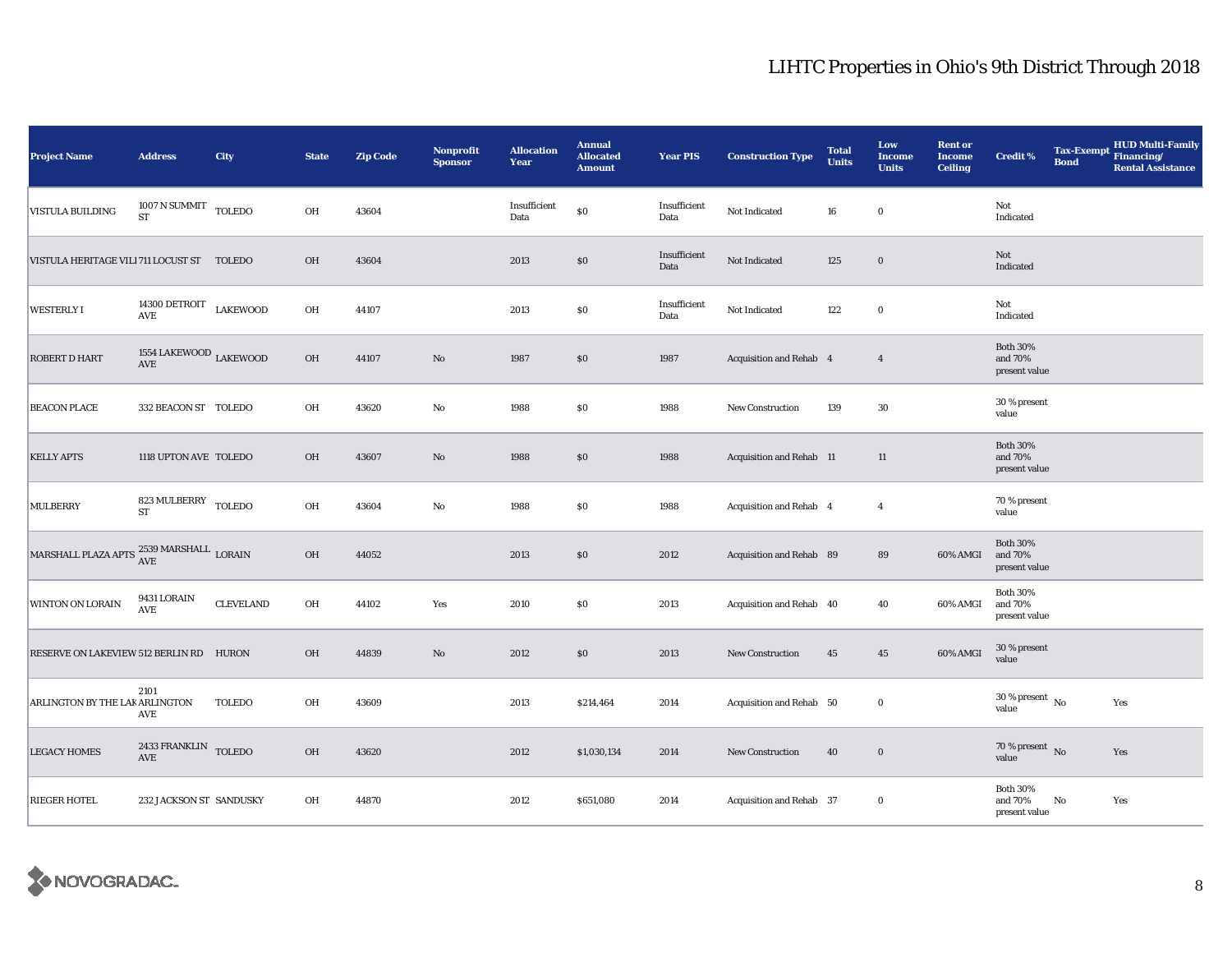| <b>Project Name</b>                                             | <b>Address</b>                               | City             | <b>State</b> | <b>Zip Code</b> | Nonprofit<br><b>Sponsor</b> | <b>Allocation</b><br>Year | <b>Annual</b><br><b>Allocated</b><br><b>Amount</b> | <b>Year PIS</b>      | <b>Construction Type</b> | <b>Total</b><br><b>Units</b> | Low<br><b>Income</b><br><b>Units</b> | <b>Rent or</b><br><b>Income</b><br><b>Ceiling</b> | <b>Credit %</b>                             | <b>Tax-Exempt</b><br><b>Bond</b> | <b>HUD Multi-Family</b><br>Financing/<br><b>Rental Assistance</b> |
|-----------------------------------------------------------------|----------------------------------------------|------------------|--------------|-----------------|-----------------------------|---------------------------|----------------------------------------------------|----------------------|--------------------------|------------------------------|--------------------------------------|---------------------------------------------------|---------------------------------------------|----------------------------------|-------------------------------------------------------------------|
| <b>VISTULA BUILDING</b>                                         | $1007$ N SUMMIT $\,$ TOLEDO<br><b>ST</b>     |                  | OH           | 43604           |                             | Insufficient<br>Data      | \$0                                                | Insufficient<br>Data | Not Indicated            | 16                           | $\bf{0}$                             |                                                   | Not<br>Indicated                            |                                  |                                                                   |
| VISTULA HERITAGE VILI 711 LOCUST ST TOLEDO                      |                                              |                  | OH           | 43604           |                             | 2013                      | $\$0$                                              | Insufficient<br>Data | Not Indicated            | 125                          | $\mathbf 0$                          |                                                   | Not<br>Indicated                            |                                  |                                                                   |
| <b>WESTERLYI</b>                                                | $14300$ DETROIT<br>AVE                       | <b>LAKEWOOD</b>  | OH           | 44107           |                             | 2013                      | $\$0$                                              | Insufficient<br>Data | Not Indicated            | 122                          | $\mathbf 0$                          |                                                   | Not<br>Indicated                            |                                  |                                                                   |
| <b>ROBERT D HART</b>                                            | 1554 LAKEWOOD $_{\rm LAKEWOOD}$<br>AVE       |                  | OH           | 44107           | $\mathbf{No}$               | 1987                      | \$0                                                | 1987                 | Acquisition and Rehab 4  |                              | $\overline{4}$                       |                                                   | <b>Both 30%</b><br>and 70%<br>present value |                                  |                                                                   |
| <b>BEACON PLACE</b>                                             | 332 BEACON ST TOLEDO                         |                  | OH           | 43620           | $\mathbf{No}$               | 1988                      | $\$0$                                              | 1988                 | <b>New Construction</b>  | 139                          | $30\,$                               |                                                   | 30 % present<br>value                       |                                  |                                                                   |
| <b>KELLY APTS</b>                                               | 1118 UPTON AVE TOLEDO                        |                  | OH           | 43607           | No                          | 1988                      | \$0                                                | 1988                 | Acquisition and Rehab 11 |                              | 11                                   |                                                   | <b>Both 30%</b><br>and 70%<br>present value |                                  |                                                                   |
| MULBERRY                                                        | $823$ MULBERRY $_{\rm TOLEDO}$<br><b>ST</b>  |                  | OH           | 43604           | $\mathbf{No}$               | 1988                      | $\$0$                                              | 1988                 | Acquisition and Rehab 4  |                              | $\overline{4}$                       |                                                   | 70 % present<br>value                       |                                  |                                                                   |
| MARSHALL PLAZA APTS $\frac{2539}{\mathrm{AVE}}$ MARSHALL LORAIN |                                              |                  | OH           | 44052           |                             | 2013                      | \$0                                                | 2012                 | Acquisition and Rehab 89 |                              | 89                                   | 60% AMGI                                          | <b>Both 30%</b><br>and 70%<br>present value |                                  |                                                                   |
| WINTON ON LORAIN                                                | 9431 LORAIN<br>$\operatorname{AVE}$          | <b>CLEVELAND</b> | OH           | 44102           | Yes                         | 2010                      | \$0                                                | 2013                 | Acquisition and Rehab 40 |                              | 40                                   | 60% AMGI                                          | <b>Both 30%</b><br>and 70%<br>present value |                                  |                                                                   |
| RESERVE ON LAKEVIEW 512 BERLIN RD HURON                         |                                              |                  | OH           | 44839           | $\mathbf{No}$               | 2012                      | \$0                                                | 2013                 | <b>New Construction</b>  | 45                           | $45\,$                               | 60% AMGI                                          | 30 % present<br>value                       |                                  |                                                                   |
| ARLINGTON BY THE LAK ARLINGTON                                  | 2101<br>AVE                                  | TOLEDO           | OH           | 43609           |                             | 2013                      | \$214,464                                          | 2014                 | Acquisition and Rehab 50 |                              | $\bf{0}$                             |                                                   | $30\,\%$ present $\,$ No $\,$<br>value      |                                  | Yes                                                               |
| <b>LEGACY HOMES</b>                                             | 2433 FRANKLIN TOLEDO<br>$\operatorname{AVE}$ |                  | OH           | 43620           |                             | 2012                      | \$1,030,134                                        | 2014                 | New Construction         | 40                           | $\bf{0}$                             |                                                   | 70 % present $\bar{N}$<br>value             |                                  | Yes                                                               |
| <b>RIEGER HOTEL</b>                                             | 232 JACKSON ST SANDUSKY                      |                  | OH           | 44870           |                             | 2012                      | \$651,080                                          | 2014                 | Acquisition and Rehab 37 |                              | $\bf{0}$                             |                                                   | <b>Both 30%</b><br>and 70%<br>present value | No                               | Yes                                                               |

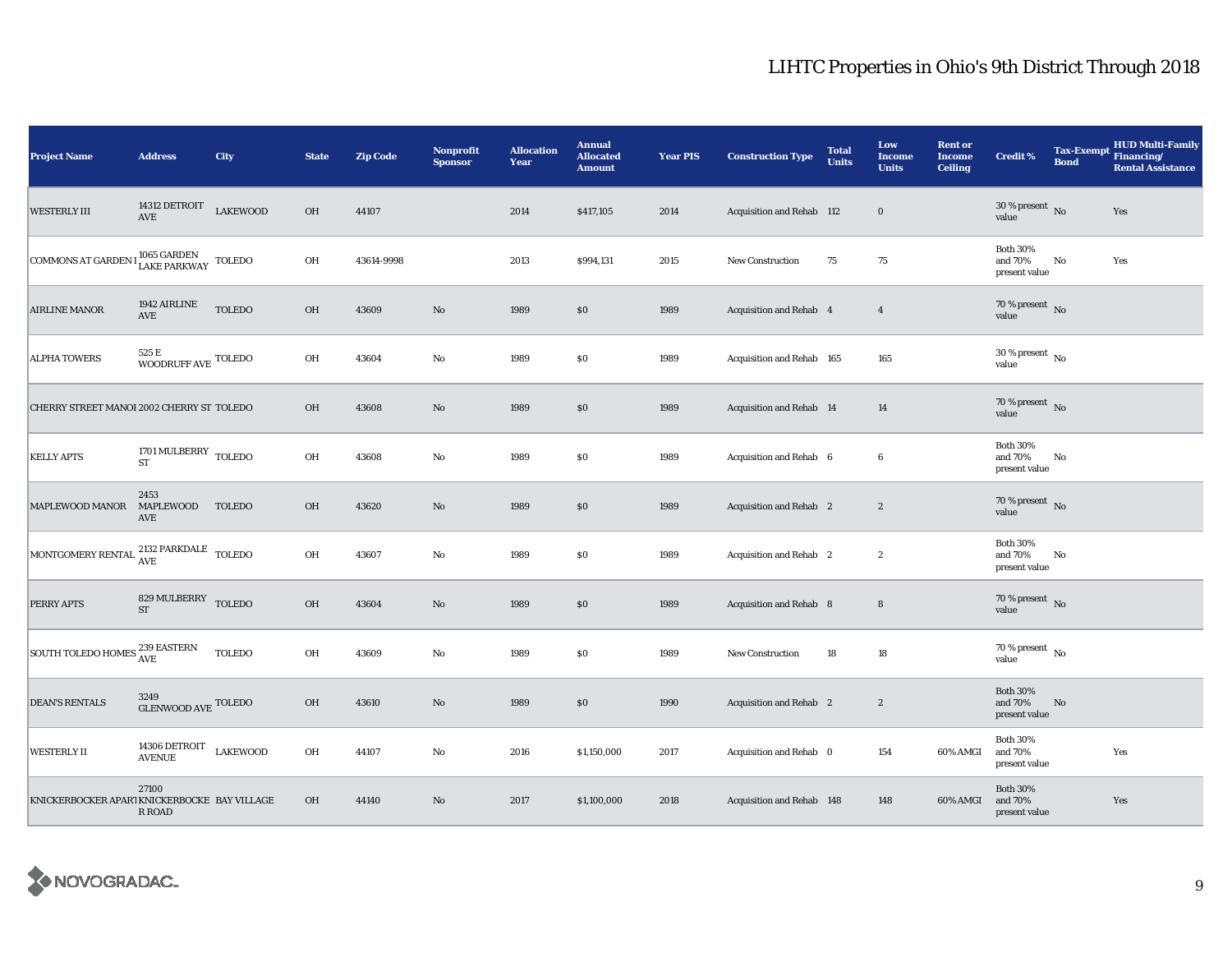| <b>Project Name</b>                                                                                                               | <b>Address</b>                                      | City            | <b>State</b> | <b>Zip Code</b> | <b>Nonprofit</b><br><b>Sponsor</b> | <b>Allocation</b><br>Year | <b>Annual</b><br><b>Allocated</b><br><b>Amount</b> | <b>Year PIS</b> | <b>Construction Type</b>        | <b>Total</b><br><b>Units</b> | Low<br><b>Income</b><br><b>Units</b> | <b>Rent or</b><br><b>Income</b><br><b>Ceiling</b> | <b>Credit %</b>                             | Tax-Exempt Financing/<br><b>Bond</b> | <b>HUD Multi-Family</b><br><b>Rental Assistance</b> |
|-----------------------------------------------------------------------------------------------------------------------------------|-----------------------------------------------------|-----------------|--------------|-----------------|------------------------------------|---------------------------|----------------------------------------------------|-----------------|---------------------------------|------------------------------|--------------------------------------|---------------------------------------------------|---------------------------------------------|--------------------------------------|-----------------------------------------------------|
| <b>WESTERLY III</b>                                                                                                               | 14312 DETROIT<br>$\operatorname{AVE}$               | <b>LAKEWOOD</b> | $OH$         | 44107           |                                    | 2014                      | \$417,105                                          | 2014            | Acquisition and Rehab 112       |                              | $\bf{0}$                             |                                                   | $30$ % present $\,$ No $\,$<br>value        |                                      | Yes                                                 |
| <b>COMMONS AT GARDEN</b>                                                                                                          | $1065$ GARDEN $\,$ TOLEDO LAKE PARKWAY              |                 | OH           | 43614-9998      |                                    | 2013                      | \$994,131                                          | 2015            | <b>New Construction</b>         | 75                           | 75                                   |                                                   | <b>Both 30%</b><br>and 70%<br>present value | No                                   | Yes                                                 |
| <b>AIRLINE MANOR</b>                                                                                                              | 1942 AIRLINE<br>AVE                                 | <b>TOLEDO</b>   | $OH$         | 43609           | $\mathbf{N}\mathbf{o}$             | 1989                      | \$0                                                | 1989            | Acquisition and Rehab 4         |                              | $\overline{4}$                       |                                                   | 70 % present $\bar{N}$ o<br>value           |                                      |                                                     |
| <b>ALPHA TOWERS</b>                                                                                                               | 525 E<br>WOODRUFF AVE ${\rm TOLEDO}$                |                 | OH           | 43604           | $\rm No$                           | 1989                      | \$0                                                | 1989            | Acquisition and Rehab 165       |                              | 165                                  |                                                   | $30$ % present $\,$ No $\,$<br>value        |                                      |                                                     |
| CHERRY STREET MANOI 2002 CHERRY ST TOLEDO                                                                                         |                                                     |                 | OH           | 43608           | $\rm No$                           | 1989                      | \$0                                                | 1989            | <b>Acquisition and Rehab 14</b> |                              | 14                                   |                                                   | 70 % present $\bar{N}$<br>value             |                                      |                                                     |
| <b>KELLY APTS</b>                                                                                                                 | 1701 MULBERRY TOLEDO<br>${\rm ST}$                  |                 | OH           | 43608           | $\rm No$                           | 1989                      | \$0                                                | 1989            | Acquisition and Rehab 6         |                              | 6                                    |                                                   | <b>Both 30%</b><br>and 70%<br>present value | No                                   |                                                     |
| MAPLEWOOD MANOR                                                                                                                   | 2453<br>MAPLEWOOD<br>AVE                            | <b>TOLEDO</b>   | $OH$         | 43620           | $\rm No$                           | 1989                      | \$0\$                                              | 1989            | Acquisition and Rehab 2         |                              | $\boldsymbol{2}$                     |                                                   | 70 % present $\,$ No $\,$<br>value          |                                      |                                                     |
| $\begin{array}{ l } \hbox{MONTGOMERY RENTAL} \begin{tabular}{ll} 2132 \text{ PARKDALE} & \text{TOLEDO} \end{tabular} \end{array}$ |                                                     |                 | OH           | 43607           | $\rm No$                           | 1989                      | \$0                                                | 1989            | Acquisition and Rehab 2         |                              | $\boldsymbol{2}$                     |                                                   | <b>Both 30%</b><br>and 70%<br>present value | No                                   |                                                     |
| PERRY APTS                                                                                                                        | 829 MULBERRY TOLEDO<br><b>ST</b>                    |                 | $OH$         | 43604           | $\rm No$                           | 1989                      | \$0                                                | 1989            | Acquisition and Rehab 8         |                              | $\bf8$                               |                                                   | 70 % present $\,$ No $\,$<br>value          |                                      |                                                     |
| SOUTH TOLEDO HOMES <sup>239</sup> EASTERN                                                                                         |                                                     | <b>TOLEDO</b>   | OH           | 43609           | No                                 | 1989                      | \$0                                                | 1989            | New Construction                | 18                           | 18                                   |                                                   | $70$ % present $\,$ No $\,$<br>value        |                                      |                                                     |
| <b>DEAN'S RENTALS</b>                                                                                                             | 3249<br>${\tt GLENWOOD}$ ${\tt NVE}$ ${\tt TOLEDO}$ |                 | $OH$         | 43610           | No                                 | 1989                      | \$0\$                                              | 1990            | Acquisition and Rehab 2         |                              | $\boldsymbol{2}$                     |                                                   | <b>Both 30%</b><br>and 70%<br>present value | No                                   |                                                     |
| <b>WESTERLY II</b>                                                                                                                | 14306 DETROIT<br><b>AVENUE</b>                      | <b>LAKEWOOD</b> | OH           | 44107           | No                                 | 2016                      | \$1,150,000                                        | 2017            | Acquisition and Rehab 0         |                              | 154                                  | 60% AMGI                                          | <b>Both 30%</b><br>and 70%<br>present value |                                      | Yes                                                 |
| KNICKERBOCKER APARTKNICKERBOCKE BAY VILLAGE                                                                                       | 27100<br>R ROAD                                     |                 | OH           | 44140           | No                                 | 2017                      | \$1,100,000                                        | 2018            | Acquisition and Rehab 148       |                              | 148                                  | 60% AMGI                                          | <b>Both 30%</b><br>and 70%<br>present value |                                      | Yes                                                 |